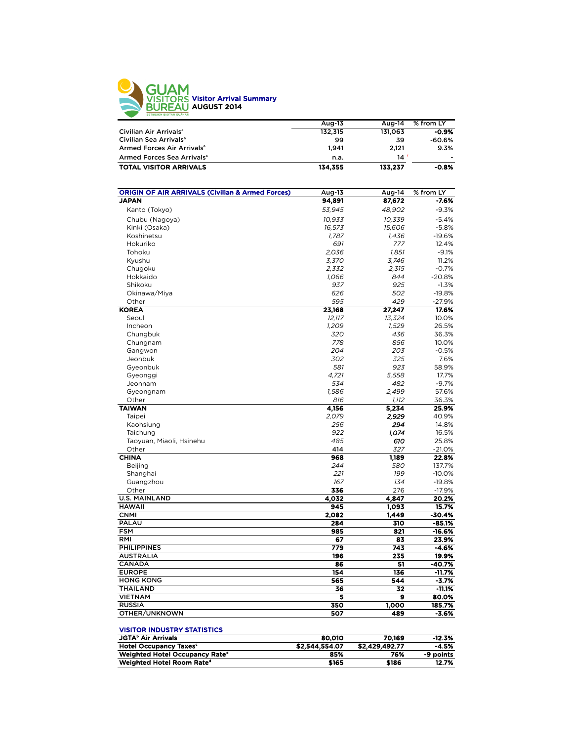

| Aug-13  | Aug-14  | % from LY |
|---------|---------|-----------|
| 132.315 | 131.063 | -0.9%     |
| 99      | 39      | -60.6%    |
| 1.941   | 2.121   | 9.3%      |
| n.a.    | 14'     | ٠         |
| 134,355 | 133.237 | $-0.8%$   |
|         |         |           |

| <b>ORIGIN OF AIR ARRIVALS (Civilian &amp; Armed Forces)</b> | Aug-13 | Aug-14 | % from LY |
|-------------------------------------------------------------|--------|--------|-----------|
| <b>JAPAN</b>                                                | 94,891 | 87,672 | $-7.6%$   |
| Kanto (Tokyo)                                               | 53,945 | 48,902 | $-9.3%$   |
| Chubu (Nagoya)                                              | 10.933 | 10,339 | $-5.4%$   |
| Kinki (Osaka)                                               | 16,573 | 15,606 | $-5.8%$   |
| Koshinetsu                                                  | 1,787  | 1,436  | $-19.6%$  |
| Hokuriko                                                    | 691    | 777    | 12.4%     |
| Tohoku                                                      | 2,036  | 1,851  | $-9.1%$   |
| Kyushu                                                      | 3,370  | 3,746  | 11.2%     |
| Chugoku                                                     | 2,332  | 2,315  | $-0.7%$   |
| Hokkaido                                                    | 1,066  | 844    | $-20.8%$  |
| Shikoku                                                     | 937    | 925    | $-1.3%$   |
| Okinawa/Miya                                                | 626    | 502    | $-19.8%$  |
| Other                                                       | 595    | 429    | $-27.9%$  |
| <b>KOREA</b>                                                | 23,168 | 27,247 | 17.6%     |
| Seoul                                                       | 12,117 | 13,324 | 10.0%     |
| Incheon                                                     | 1,209  | 1,529  | 26.5%     |
| Chungbuk                                                    | 320    | 436    | 36.3%     |
| Chungnam                                                    | 778    | 856    | 10.0%     |
| Gangwon                                                     | 204    | 203    | $-0.5%$   |
| Jeonbuk                                                     | 302    | 325    | 7.6%      |
| Gyeonbuk                                                    | 581    | 923    | 58.9%     |
| Gyeonggi                                                    | 4.721  | 5.558  | 17.7%     |
| Jeonnam                                                     | 534    | 482    | $-9.7%$   |
| Gyeongnam                                                   | 1,586  | 2,499  | 57.6%     |
| Other                                                       | 816    | 1,112  | 36.3%     |
| <b>TAIWAN</b>                                               | 4,156  | 5,234  | 25.9%     |
| Taipei                                                      | 2,079  | 2,929  | 40.9%     |
| Kaohsiung                                                   | 256    | 294    | 14.8%     |
| Taichung                                                    | 922    | 1,074  | 16.5%     |
| Taoyuan, Miaoli, Hsinehu                                    | 485    | 610    | 25.8%     |
| Other                                                       | 414    | 327    | $-21.0%$  |
| <b>CHINA</b>                                                | 968    | 1,189  | 22.8%     |
| Beijing                                                     | 244    | 580    | 137.7%    |
| Shanghai                                                    | 221    | 199    | $-10.0%$  |
| Guangzhou                                                   | 167    | 134    | $-19.8%$  |
| Other                                                       | 336    | 276    | $-17.9%$  |
| <b>U.S. MAINLAND</b>                                        | 4,032  | 4.847  | 20.2%     |
| <b>HAWAII</b>                                               | 945    | 1,093  | 15.7%     |
| <b>CNMI</b>                                                 | 2,082  | 1,449  | -30.4%    |
| PALAU                                                       | 284    | 310    | $-85.1%$  |
| <b>FSM</b>                                                  | 985    | 821    | $-16.6%$  |
| RMI                                                         | 67     | 83     | 23.9%     |
| <b>PHILIPPINES</b>                                          | 779    | 743    | $-4.6%$   |
| <b>AUSTRALIA</b>                                            | 196    | 235    | 19.9%     |
| <b>CANADA</b>                                               | 86     | 51     | $-40.7%$  |
| <b>EUROPE</b>                                               | 154    | 136    | $-11.7%$  |
| <b>HONG KONG</b>                                            | 565    | 544    | $-3.7%$   |
| <b>THAILAND</b>                                             | 36     | 32     | $-11.1%$  |
| <b>VIETNAM</b>                                              | 5      | 9      | 80.0%     |
| <b>RUSSIA</b>                                               | 350    | 1,000  | 185.7%    |
| OTHER/UNKNOWN                                               | 507    | 489    | $-3.6%$   |
|                                                             |        |        |           |
| <b>VISITOR INDUSTRY STATISTICS</b>                          |        |        |           |
| <b>JGTA</b> <sup>b</sup> Air Arrivals                       | 80,010 | 70,169 | $-12.3%$  |

Hotel Occupancy Taxesc \$2,544,554.07 \$2,429,492.77 -4.5% Weighted Hotel Occupancy Rated 85% 76% -9 points Weighted Hotel Room Rated \$165 \$186 12.7%